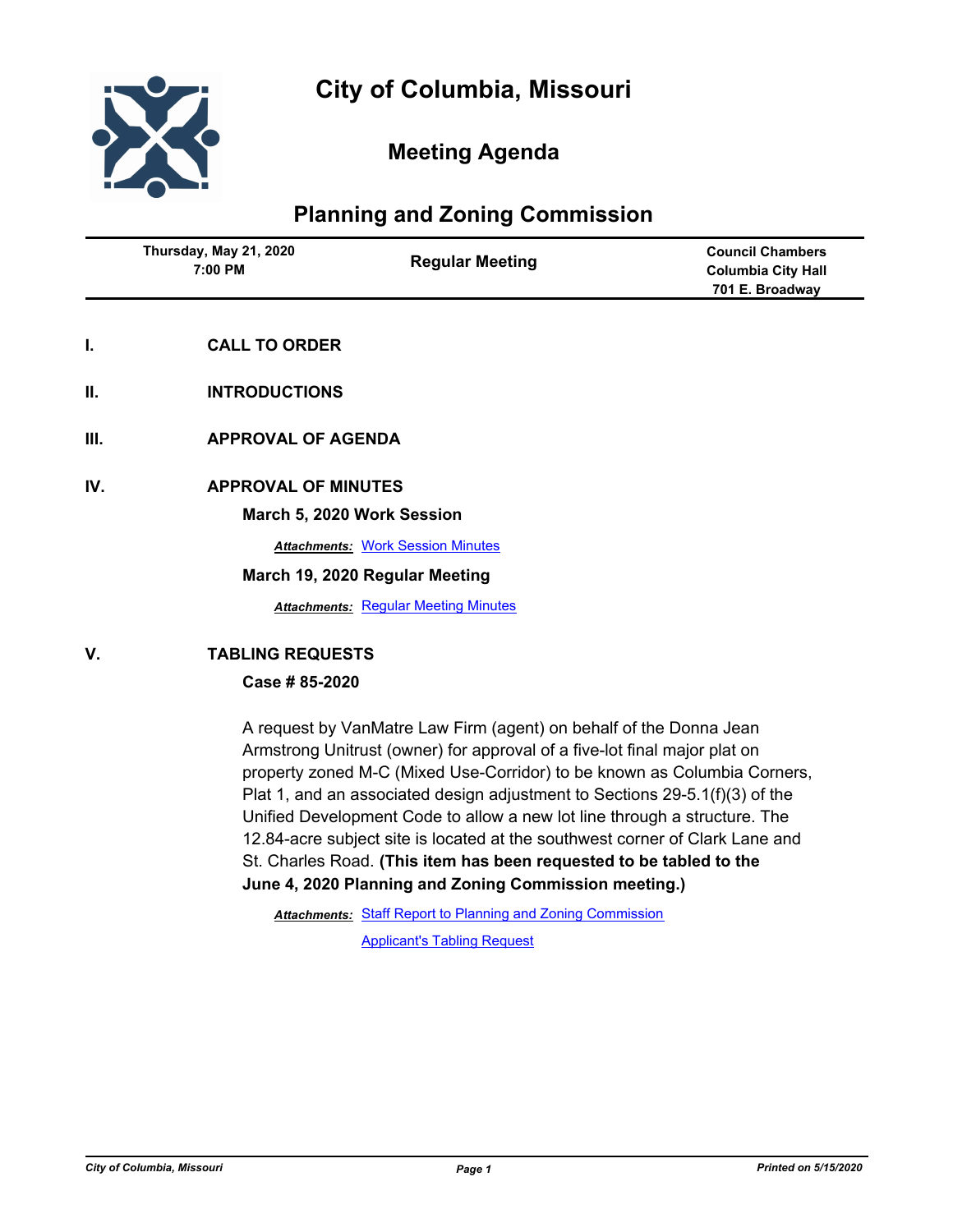

# **Meeting Agenda**

# **Planning and Zoning Commission**

|      | Thursday, May 21, 2020<br>7:00 PM | <b>Regular Meeting</b>                      | <b>Council Chambers</b><br><b>Columbia City Hall</b><br>701 E. Broadway |  |
|------|-----------------------------------|---------------------------------------------|-------------------------------------------------------------------------|--|
| I.   | <b>CALL TO ORDER</b>              |                                             |                                                                         |  |
| Ш.   | <b>INTRODUCTIONS</b>              |                                             |                                                                         |  |
| III. | <b>APPROVAL OF AGENDA</b>         |                                             |                                                                         |  |
| IV.  | <b>APPROVAL OF MINUTES</b>        | March 5, 2020 Work Session                  |                                                                         |  |
|      |                                   | <b>Attachments: Work Session Minutes</b>    |                                                                         |  |
|      | March 19, 2020 Regular Meeting    |                                             |                                                                         |  |
|      |                                   | <b>Attachments: Regular Meeting Minutes</b> |                                                                         |  |
| V.   | <b>TABLING REQUESTS</b>           |                                             |                                                                         |  |
|      | Case #85-2020                     |                                             |                                                                         |  |

A request by VanMatre Law Firm (agent) on behalf of the Donna Jean Armstrong Unitrust (owner) for approval of a five-lot final major plat on property zoned M-C (Mixed Use-Corridor) to be known as Columbia Corners, Plat 1, and an associated design adjustment to Sections 29-5.1(f)(3) of the Unified Development Code to allow a new lot line through a structure. The 12.84-acre subject site is located at the southwest corner of Clark Lane and St. Charles Road. **(This item has been requested to be tabled to the June 4, 2020 Planning and Zoning Commission meeting.)**

Attachments: [Staff Report to Planning and Zoning Commission](http://gocolumbiamo.legistar.com/gateway.aspx?M=F&ID=edf8ad71-8076-4ca1-bab2-5f632c7b8f0f.docx) [Applicant's Tabling Request](http://gocolumbiamo.legistar.com/gateway.aspx?M=F&ID=a4dabb8e-55ff-4aca-a28d-cfa98ba6cdc0.pdf)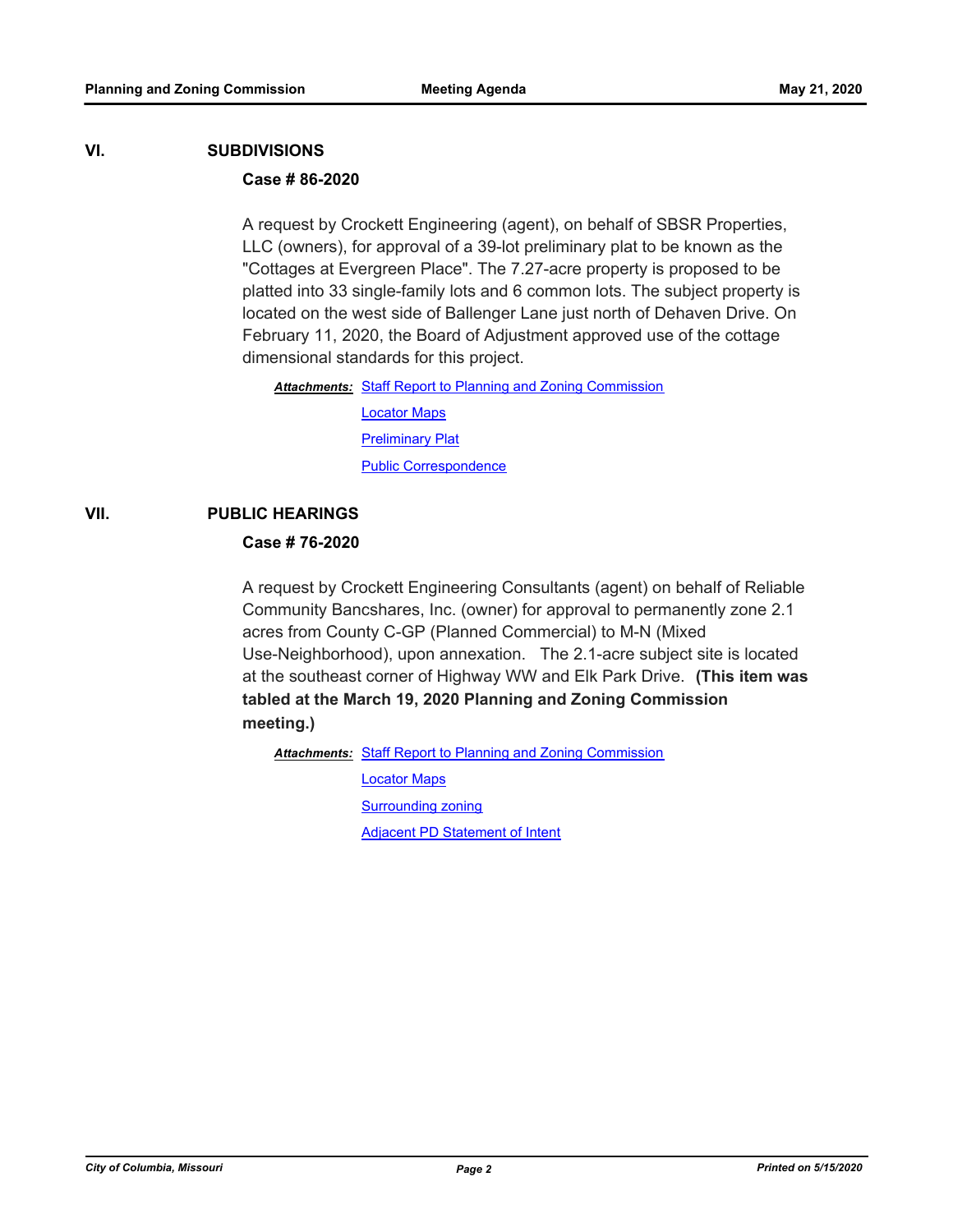#### **VI. SUBDIVISIONS**

### **Case # 86-2020**

A request by Crockett Engineering (agent), on behalf of SBSR Properties, LLC (owners), for approval of a 39-lot preliminary plat to be known as the "Cottages at Evergreen Place". The 7.27-acre property is proposed to be platted into 33 single-family lots and 6 common lots. The subject property is located on the west side of Ballenger Lane just north of Dehaven Drive. On February 11, 2020, the Board of Adjustment approved use of the cottage dimensional standards for this project.

Attachments: [Staff Report to Planning and Zoning Commission](http://gocolumbiamo.legistar.com/gateway.aspx?M=F&ID=df3cc00b-8edd-4042-8d03-4aae28c09cdc.docx)

[Locator Maps](http://gocolumbiamo.legistar.com/gateway.aspx?M=F&ID=d326a67f-8e5f-483f-8890-698dcb788fd5.pdf) [Preliminary Plat](http://gocolumbiamo.legistar.com/gateway.aspx?M=F&ID=305f75c3-75e8-48b3-a01a-d0369b297b6b.pdf) [Public Correspondence](http://gocolumbiamo.legistar.com/gateway.aspx?M=F&ID=f81a1350-25cd-4e28-91a2-0a080ad82788.pdf)

## **VII. PUBLIC HEARINGS**

### **Case # 76-2020**

A request by Crockett Engineering Consultants (agent) on behalf of Reliable Community Bancshares, Inc. (owner) for approval to permanently zone 2.1 acres from County C-GP (Planned Commercial) to M-N (Mixed Use-Neighborhood), upon annexation. The 2.1-acre subject site is located at the southeast corner of Highway WW and Elk Park Drive. **(This item was tabled at the March 19, 2020 Planning and Zoning Commission meeting.)**

Attachments: [Staff Report to Planning and Zoning Commission](http://gocolumbiamo.legistar.com/gateway.aspx?M=F&ID=4b8a9cf7-ed70-4b9e-bd6e-229b39de0744.docx)

[Locator Maps](http://gocolumbiamo.legistar.com/gateway.aspx?M=F&ID=fb03fc0f-cdeb-46a5-9629-a20e1baa3efc.pdf) [Surrounding zoning](http://gocolumbiamo.legistar.com/gateway.aspx?M=F&ID=30f1599f-9b56-4412-b1ae-b934e9f6f244.pdf)

[Adjacent PD Statement of Intent](http://gocolumbiamo.legistar.com/gateway.aspx?M=F&ID=8e930f33-09be-4ee3-b906-0f1d976bde62.pdf)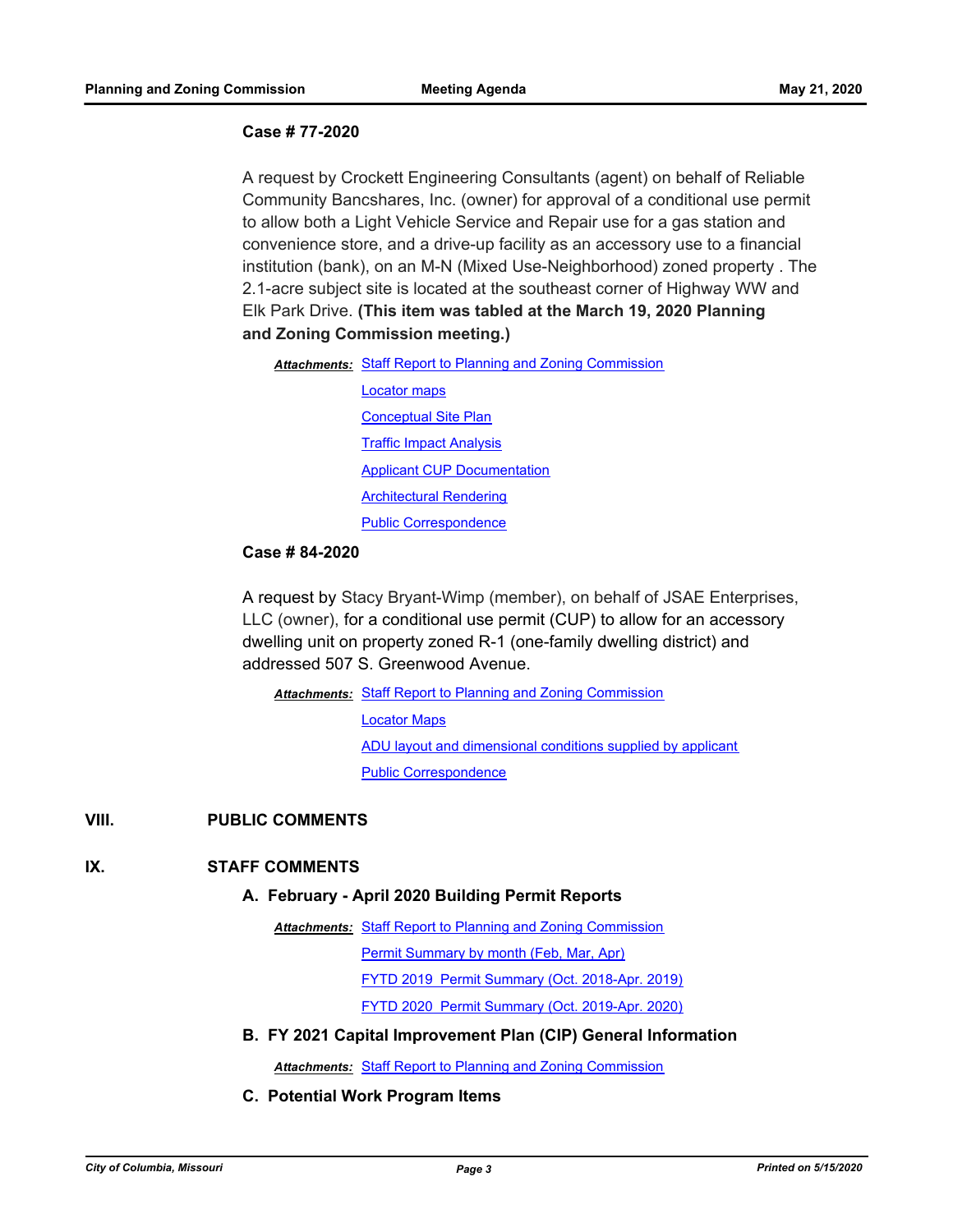### **Case # 77-2020**

A request by Crockett Engineering Consultants (agent) on behalf of Reliable Community Bancshares, Inc. (owner) for approval of a conditional use permit to allow both a Light Vehicle Service and Repair use for a gas station and convenience store, and a drive-up facility as an accessory use to a financial institution (bank), on an M-N (Mixed Use-Neighborhood) zoned property . The 2.1-acre subject site is located at the southeast corner of Highway WW and Elk Park Drive. **(This item was tabled at the March 19, 2020 Planning and Zoning Commission meeting.)**

Attachments: [Staff Report to Planning and Zoning Commission](http://gocolumbiamo.legistar.com/gateway.aspx?M=F&ID=865b5497-236e-4852-981c-0da111c42f4f.docx)

[Locator maps](http://gocolumbiamo.legistar.com/gateway.aspx?M=F&ID=2680a768-49d3-436a-8163-88b9e7b73b87.pdf) [Conceptual Site Plan](http://gocolumbiamo.legistar.com/gateway.aspx?M=F&ID=c768ec79-dfa6-4cac-b053-152597c0fe6c.pdf) [Traffic Impact Analysis](http://gocolumbiamo.legistar.com/gateway.aspx?M=F&ID=6d586030-f493-497c-ac1d-ecf5f431998f.pdf) [Applicant CUP Documentation](http://gocolumbiamo.legistar.com/gateway.aspx?M=F&ID=a9febfc1-30ca-487b-a74e-86bdfcc3b296.pdf) [Architectural Rendering](http://gocolumbiamo.legistar.com/gateway.aspx?M=F&ID=dd09c4f5-fb5d-42ab-8ce3-6e89e8f47be0.pdf) [Public Correspondence](http://gocolumbiamo.legistar.com/gateway.aspx?M=F&ID=deec9489-a044-49b4-9656-cb5c5b3d2eb3.pdf)

#### **Case # 84-2020**

A request by Stacy Bryant-Wimp (member), on behalf of JSAE Enterprises, LLC (owner), for a conditional use permit (CUP) to allow for an accessory dwelling unit on property zoned R-1 (one-family dwelling district) and addressed 507 S. Greenwood Avenue.

Attachments: [Staff Report to Planning and Zoning Commission](http://gocolumbiamo.legistar.com/gateway.aspx?M=F&ID=666c7bf7-db17-41c5-8b4a-61ec9c8d7118.docx) [Locator Maps](http://gocolumbiamo.legistar.com/gateway.aspx?M=F&ID=f8f8269e-2d34-4ebb-a6f1-b080bfc0edb3.pdf) [ADU layout and dimensional conditions supplied by applicant](http://gocolumbiamo.legistar.com/gateway.aspx?M=F&ID=26a502ad-5ba8-43e1-8408-bafafc874a9b.pdf) [Public Correspondence](http://gocolumbiamo.legistar.com/gateway.aspx?M=F&ID=80d50c69-2f34-4e56-b39e-935ca704585a.pdf)

## **VIII. PUBLIC COMMENTS**

### **IX. STAFF COMMENTS**

#### **A. February - April 2020 Building Permit Reports**

Attachments: [Staff Report to Planning and Zoning Commission](http://gocolumbiamo.legistar.com/gateway.aspx?M=F&ID=a5f577e4-a841-4428-ad77-d9b730b0159a.docx)

[Permit Summary by month \(Feb, Mar, Apr\)](http://gocolumbiamo.legistar.com/gateway.aspx?M=F&ID=b8218662-2486-4401-9819-7a70d26fe602.pdf)

[FYTD 2019 Permit Summary \(Oct. 2018-Apr. 2019\)](http://gocolumbiamo.legistar.com/gateway.aspx?M=F&ID=420c037f-e9cb-48e7-b6aa-b9a63b649208.pdf)

[FYTD 2020 Permit Summary \(Oct. 2019-Apr. 2020\)](http://gocolumbiamo.legistar.com/gateway.aspx?M=F&ID=f2e89160-d944-4408-9519-068667c819dc.pdf)

**B. FY 2021 Capital Improvement Plan (CIP) General Information**

*Attachments:* [Staff Report to Planning and Zoning Commission](http://gocolumbiamo.legistar.com/gateway.aspx?M=F&ID=01401cdf-ab3b-4fb0-bed7-281c7fb62510.docx)

**C. Potential Work Program Items**